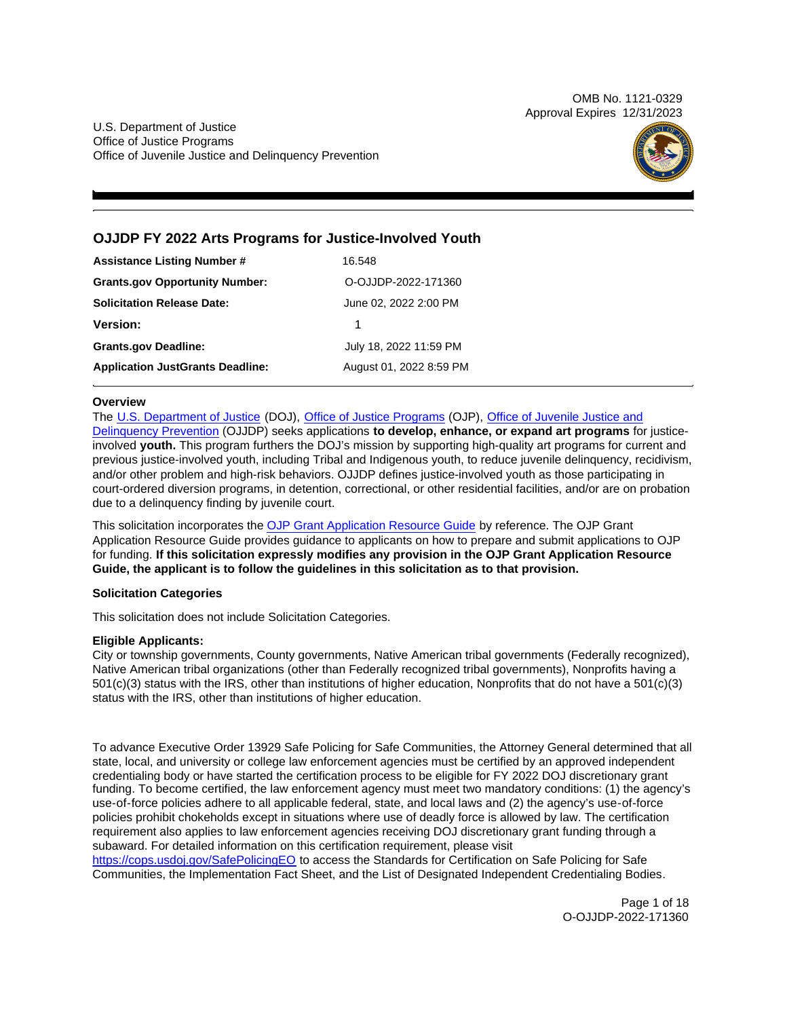OMB No. 1121-0329 Approval Expires 12/31/2023

U.S. Department of Justice Office of Justice Programs Office of Juvenile Justice and Delinquency Prevention



# **OJJDP FY 2022 Arts Programs for Justice-Involved Youth**

| <b>Assistance Listing Number #</b>      | 16.548                  |  |
|-----------------------------------------|-------------------------|--|
| <b>Grants.gov Opportunity Number:</b>   | O-OJJDP-2022-171360     |  |
| <b>Solicitation Release Date:</b>       | June 02, 2022 2:00 PM   |  |
| <b>Version:</b>                         | 1                       |  |
| <b>Grants.gov Deadline:</b>             | July 18, 2022 11:59 PM  |  |
| <b>Application JustGrants Deadline:</b> | August 01, 2022 8:59 PM |  |

## **Overview**

The [U.S. Department of Justice](https://www.usdoj.gov/) (DOJ), [Office of Justice Programs](https://www.ojp.usdoj.gov/) (OJP), [Office of Juvenile Justice and](https://ojjdp.ojp.gov/) [Delinquency Prevention](https://ojjdp.ojp.gov/) (OJJDP) seeks applications **to develop, enhance, or expand art programs** for justiceinvolved **youth.** This program furthers the DOJ's mission by supporting high-quality art programs for current and previous justice-involved youth, including Tribal and Indigenous youth, to reduce juvenile delinquency, recidivism, and/or other problem and high-risk behaviors. OJJDP defines justice-involved youth as those participating in court-ordered diversion programs, in detention, correctional, or other residential facilities, and/or are on probation due to a delinquency finding by juvenile court.

This solicitation incorporates the [OJP Grant Application Resource Guide](https://www.ojp.gov/funding/Apply/Resources/Grant-App-Resource-Guide.htm) by reference. The OJP Grant Application Resource Guide provides guidance to applicants on how to prepare and submit applications to OJP for funding. **If this solicitation expressly modifies any provision in the OJP Grant Application Resource Guide, the applicant is to follow the guidelines in this solicitation as to that provision.** 

# **Solicitation Categories**

This solicitation does not include Solicitation Categories.

# **Eligible Applicants:**

City or township governments, County governments, Native American tribal governments (Federally recognized), Native American tribal organizations (other than Federally recognized tribal governments), Nonprofits having a 501(c)(3) status with the IRS, other than institutions of higher education, Nonprofits that do not have a 501(c)(3) status with the IRS, other than institutions of higher education.

To advance Executive Order 13929 Safe Policing for Safe Communities, the Attorney General determined that all state, local, and university or college law enforcement agencies must be certified by an approved independent credentialing body or have started the certification process to be eligible for FY 2022 DOJ discretionary grant funding. To become certified, the law enforcement agency must meet two mandatory conditions: (1) the agency's use-of-force policies adhere to all applicable federal, state, and local laws and (2) the agency's use-of-force policies prohibit chokeholds except in situations where use of deadly force is allowed by law. The certification requirement also applies to law enforcement agencies receiving DOJ discretionary grant funding through a subaward. For detailed information on this certification requirement, please visit

[https://cops.usdoj.gov/SafePolicingEO](https://cops.usdoj.gov/SafePolicingEO%20) to access the Standards for Certification on Safe Policing for Safe Communities, the Implementation Fact Sheet, and the List of Designated Independent Credentialing Bodies.

> Page 1 of 18 O-OJJDP-2022-171360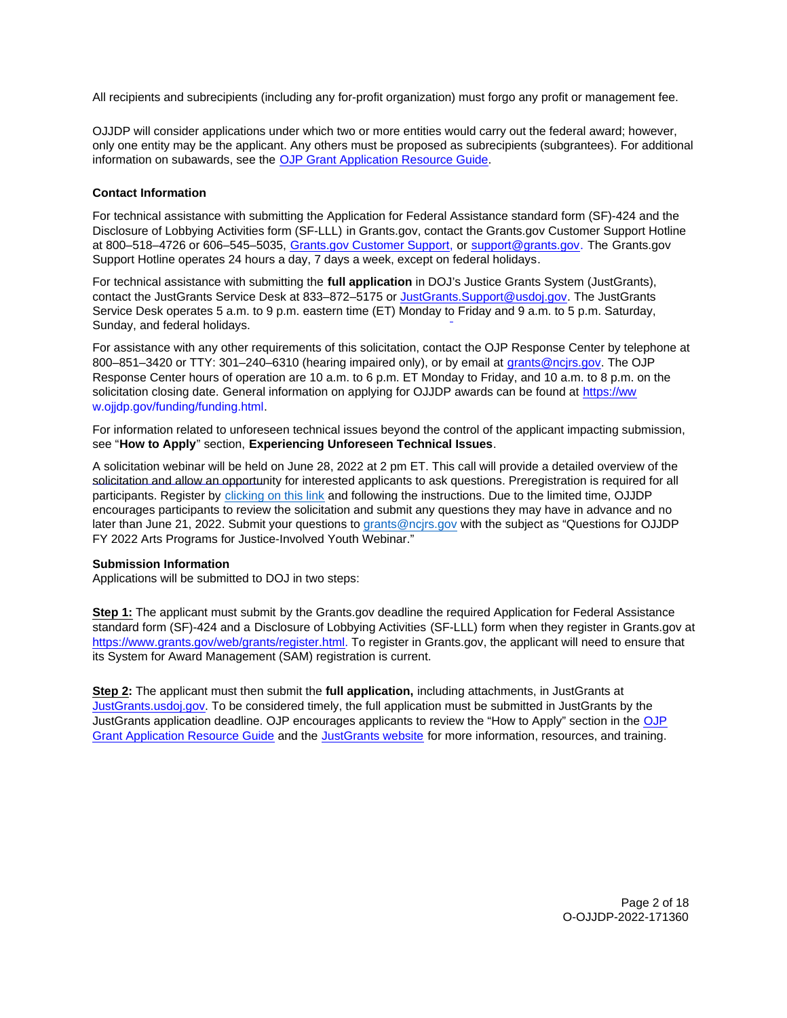<span id="page-1-0"></span>All recipients and subrecipients (including any for-profit organization) must forgo any profit or management fee.

OJJDP will consider applications under which two or more entities would carry out the federal award; however, only one entity may be the applicant. Any others must be proposed as subrecipients (subgrantees). For additional information on subawards, see the [OJP Grant Application Resource Guide.](https://www.ojp.gov/funding/apply/ojp-grant-application-resource-guide#information-proposed-subwards) 

## **Contact Information**

at 800–518–4726 or 606–545–5035, <u>[Grants.gov](https://Grants.gov) Customer Support,</u> or <u>support@grants.gov</u>. The Grants.gov For technical assistance with submitting the Application for Federal Assistance standard form (SF)-424 and the Disclosure of Lobbying Activities form (SF-LLL) in Grants.gov, contact the Grants.gov Customer Support Hotline Support Hotline operates 24 hours a day, 7 days a week, except on federal holidays.

For technical assistance with submitting the **full application** in DOJ's Justice Grants System (JustGrants), contact the JustGrants Service Desk at 833–872–5175 or [JustGrants.Support@usdoj.gov.](mailto:JustGrants.Support@usdoj.gov) The JustGrants Service Desk operates 5 a.m. to 9 p.m. eastern time (ET) Monday to Friday and 9 a.m. to 5 p.m. Saturday, Sunday, and federal holidays.

For assistance with any other requirements of this solicitation, contact the OJP Response Center by telephone at 800–851–3420 or TTY: 301–240–6310 (hearing impaired only), or by email at [grants@ncjrs.gov.](mailto:grants@ncjrs.gov) The OJP Response Center hours of operation are 10 a.m. to 6 p.m. ET Monday to Friday, and 10 a.m. to 8 p.m. on the solicitation closing date. General information on applying for OJJDP awards can be found at [https://ww](https://www.ojjdp.gov/funding/funding.html) [w.ojjdp.gov/funding/funding.html](https://w.ojjdp.gov/funding/funding.html).

For information related to unforeseen technical issues beyond the control of the applicant impacting submission, see "**How to Apply**" section, **Experiencing Unforeseen Technical Issues**.

A solicitation webinar will be held on June 28, 2022 at 2 pm ET. This call will provide a detailed overview of the [solicitation and allow an opportun](https://www.ojjdp.gov/funding/funding.html)ity for interested applicants to ask questions. Preregistration is required for all participants. Register by [clicking on this link](https://ojp.webex.com/ojp/onstage/g.php?MTID=e201822ce583f5ed9d2865d734752d758) and following the instructions. Due to the limited time, OJJDP encourages participants to review the solicitation and submit any questions they may have in advance and no later than June 21, 2022. Submit your questions to [grants@ncjrs.gov](mailto:grants@ncjrs.gov) with the subject as "Questions for OJJDP FY 2022 Arts Programs for Justice-Involved Youth Webinar."

## **Submission Information**

Applications will be submitted to DOJ in two steps:

**Step 1:** The applicant must submit by the [Grants.gov](https://Grants.gov) deadline the required Application for Federal Assistance standard form (SF)-424 and a Disclosure of Lobbying Activities (SF-LLL) form when they register in [Grants.gov](https://Grants.gov) at [https://www.grants.gov/web/grants/register.html.](https://www.grants.gov/web/grants/register.html) To register in [Grants.gov](https://Grants.gov), the applicant will need to ensure that its System for Award Management (SAM) registration is current.

**Step 2:** The applicant must then submit the **full application,** including attachments, in JustGrants at [JustGrants.usdoj.gov.](https://justicegrants.usdoj.gov/) To be considered timely, the full application must be submitted in JustGrants by the JustGrants application deadline. OJP encourages applicants to review the "How to Apply" section in the [OJP](https://www.ojp.gov/funding/apply/ojp-grant-application-resource-guide#apply) [Grant Application Resource Guide](https://www.ojp.gov/funding/apply/ojp-grant-application-resource-guide#apply) and the [JustGrants website](https://justicegrants.usdoj.gov/news) for more information, resources, and training.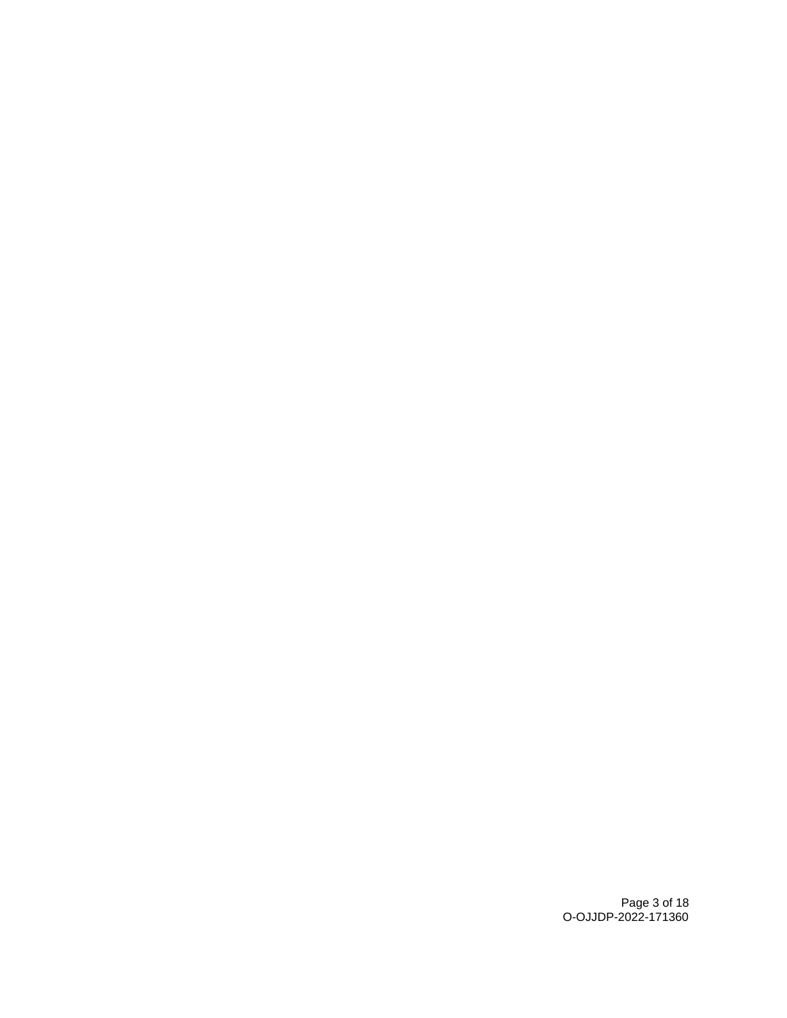Page 3 of 18 O-OJJDP-2022-171360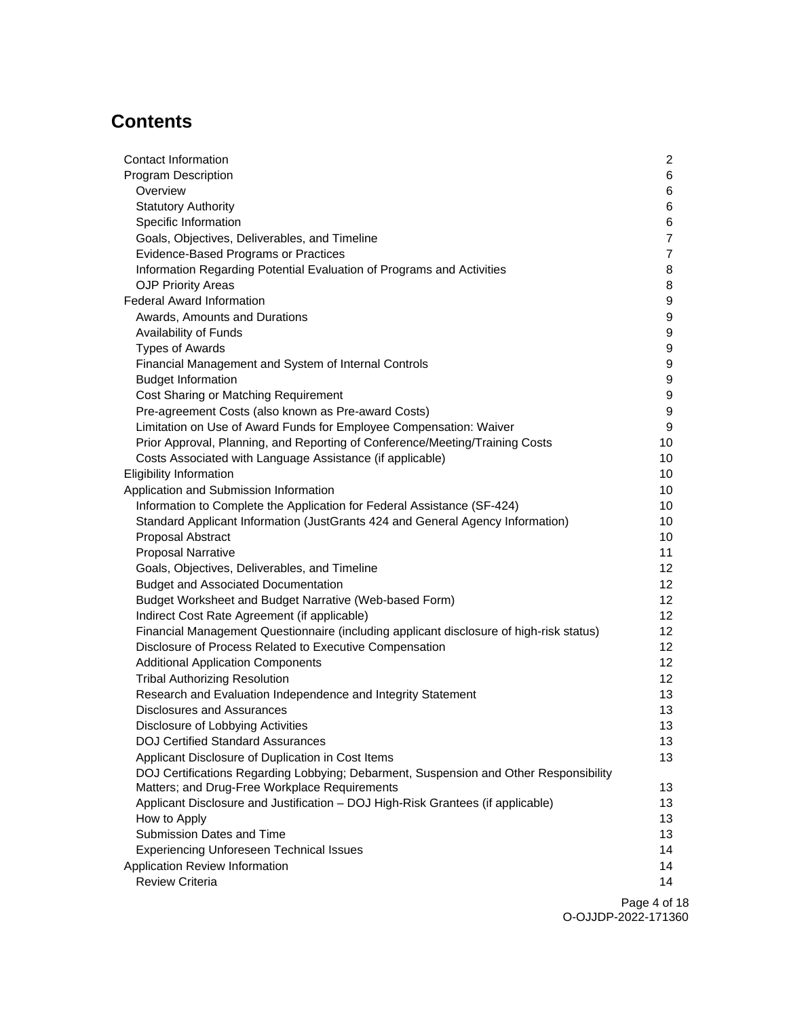# **Contents**

| Contact Information                                                                     | $\overline{2}$   |
|-----------------------------------------------------------------------------------------|------------------|
| <b>Program Description</b>                                                              | 6                |
| Overview                                                                                | 6                |
| <b>Statutory Authority</b>                                                              | 6                |
| Specific Information                                                                    | 6                |
| Goals, Objectives, Deliverables, and Timeline                                           | $\overline{7}$   |
| Evidence-Based Programs or Practices                                                    | $\overline{7}$   |
| Information Regarding Potential Evaluation of Programs and Activities                   | 8                |
| <b>OJP Priority Areas</b>                                                               | 8                |
| <b>Federal Award Information</b>                                                        | 9                |
| Awards, Amounts and Durations                                                           | 9                |
| Availability of Funds                                                                   | 9                |
| <b>Types of Awards</b>                                                                  | 9                |
| Financial Management and System of Internal Controls                                    | 9                |
| <b>Budget Information</b>                                                               | 9                |
| Cost Sharing or Matching Requirement                                                    | 9                |
| Pre-agreement Costs (also known as Pre-award Costs)                                     | 9                |
| Limitation on Use of Award Funds for Employee Compensation: Waiver                      | $\boldsymbol{9}$ |
| Prior Approval, Planning, and Reporting of Conference/Meeting/Training Costs            | 10               |
| Costs Associated with Language Assistance (if applicable)                               | 10               |
| <b>Eligibility Information</b>                                                          | 10               |
| Application and Submission Information                                                  | 10               |
| Information to Complete the Application for Federal Assistance (SF-424)                 | 10               |
| Standard Applicant Information (JustGrants 424 and General Agency Information)          | 10               |
| Proposal Abstract                                                                       | 10               |
| <b>Proposal Narrative</b>                                                               | 11               |
| Goals, Objectives, Deliverables, and Timeline                                           | 12               |
| <b>Budget and Associated Documentation</b>                                              | 12               |
| Budget Worksheet and Budget Narrative (Web-based Form)                                  | 12 <sub>2</sub>  |
| Indirect Cost Rate Agreement (if applicable)                                            | 12               |
| Financial Management Questionnaire (including applicant disclosure of high-risk status) | 12               |
| Disclosure of Process Related to Executive Compensation                                 | 12               |
| <b>Additional Application Components</b>                                                | 12               |
| <b>Tribal Authorizing Resolution</b>                                                    | 12 <sub>2</sub>  |
| Research and Evaluation Independence and Integrity Statement                            | 13               |
| <b>Disclosures and Assurances</b>                                                       | 13               |
| Disclosure of Lobbying Activities                                                       | 13               |
| <b>DOJ Certified Standard Assurances</b>                                                | 13               |
| Applicant Disclosure of Duplication in Cost Items                                       | 13               |
| DOJ Certifications Regarding Lobbying; Debarment, Suspension and Other Responsibility   |                  |
| Matters; and Drug-Free Workplace Requirements                                           | 13               |
| Applicant Disclosure and Justification - DOJ High-Risk Grantees (if applicable)         | 13               |
| How to Apply                                                                            | 13               |
| Submission Dates and Time                                                               | 13               |
| <b>Experiencing Unforeseen Technical Issues</b>                                         | 14               |
| Application Review Information                                                          | 14               |
| <b>Review Criteria</b>                                                                  | 14               |
|                                                                                         |                  |

Page 4 of 18 O-OJJDP-2022-171360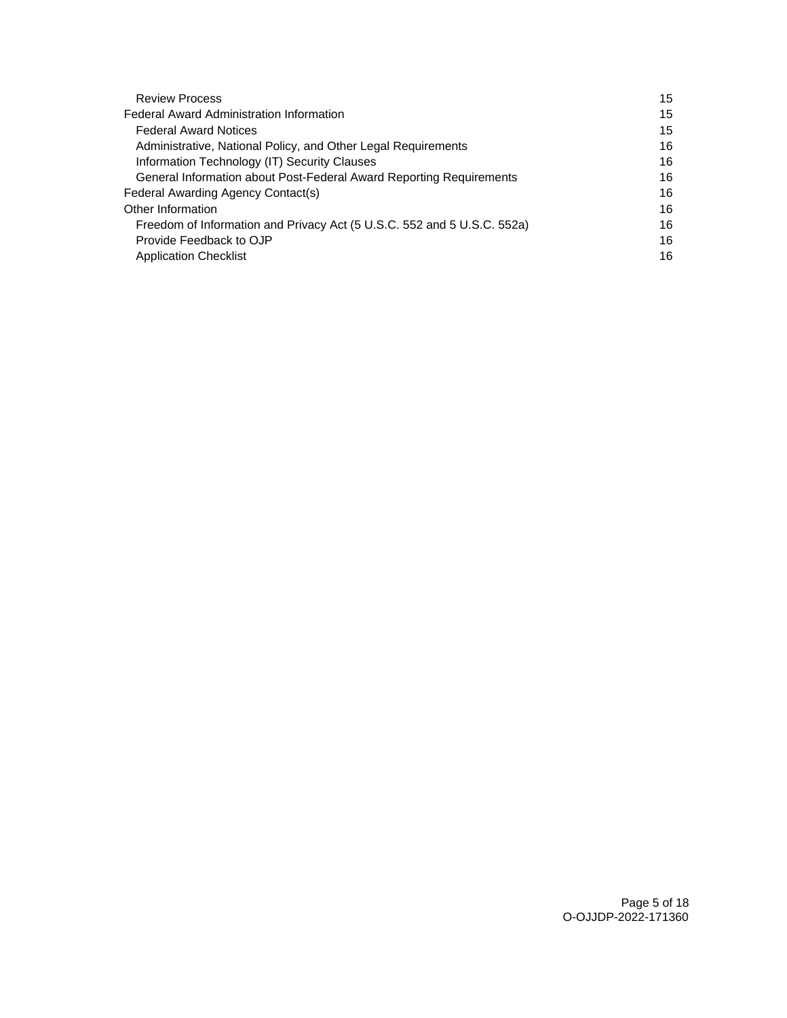| <b>Review Process</b>                                                   | 15 |
|-------------------------------------------------------------------------|----|
| <b>Federal Award Administration Information</b>                         | 15 |
| <b>Federal Award Notices</b>                                            | 15 |
| Administrative, National Policy, and Other Legal Requirements           | 16 |
| Information Technology (IT) Security Clauses                            | 16 |
| General Information about Post-Federal Award Reporting Requirements     | 16 |
| Federal Awarding Agency Contact(s)                                      | 16 |
| Other Information                                                       | 16 |
| Freedom of Information and Privacy Act (5 U.S.C. 552 and 5 U.S.C. 552a) | 16 |
| Provide Feedback to OJP                                                 | 16 |
| <b>Application Checklist</b>                                            | 16 |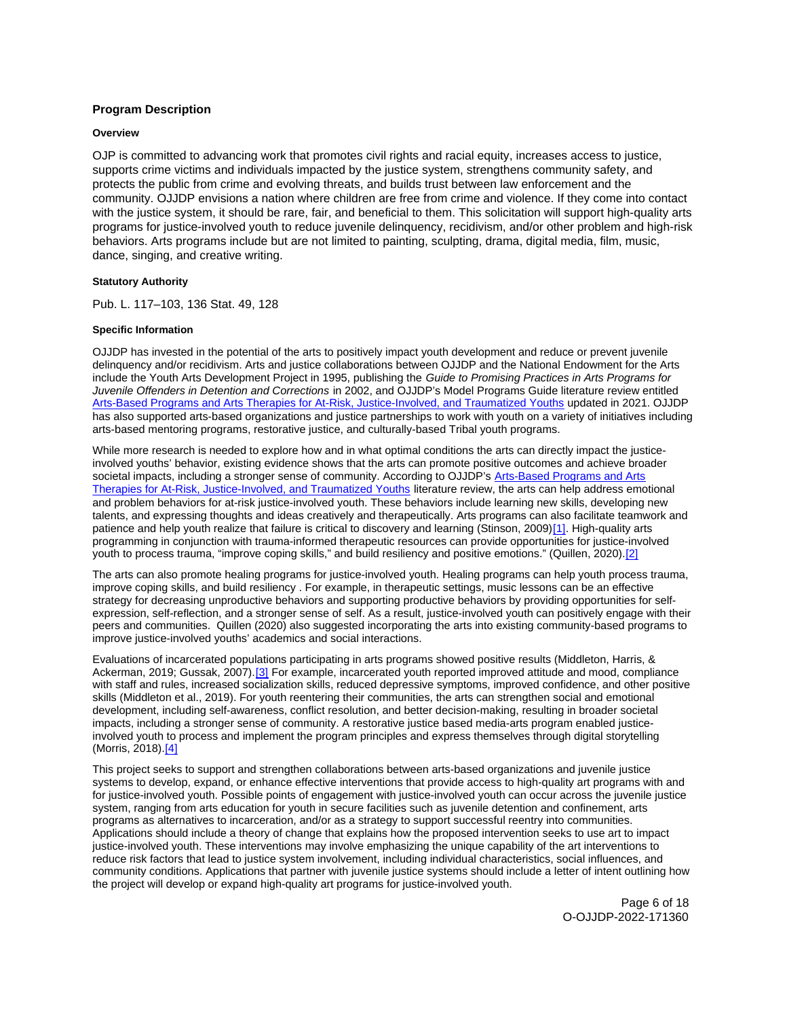## <span id="page-5-0"></span>**Program Description**

#### **Overview**

OJP is committed to advancing work that promotes civil rights and racial equity, increases access to justice, supports crime victims and individuals impacted by the justice system, strengthens community safety, and protects the public from crime and evolving threats, and builds trust between law enforcement and the community. OJJDP envisions a nation where children are free from crime and violence. If they come into contact with the justice system, it should be rare, fair, and beneficial to them. This solicitation will support high-quality arts programs for justice-involved youth to reduce juvenile delinquency, recidivism, and/or other problem and high-risk behaviors. Arts programs include but are not limited to painting, sculpting, drama, digital media, film, music, dance, singing, and creative writing.

#### **Statutory Authority**

Pub. L. 117–103, 136 Stat. 49, 128

#### **Specific Information**

OJJDP has invested in the potential of the arts to positively impact youth development and reduce or prevent juvenile delinquency and/or recidivism. Arts and justice collaborations between OJJDP and the National Endowment for the Arts include the Youth Arts Development Project in 1995, publishing the Guide to Promising Practices in Arts Programs for Juvenile Offenders in Detention and Corrections in 2002, and OJJDP's Model Programs Guide literature review entitled [Arts-Based Programs and Arts Therapies for At-Risk, Justice-Involved, and Traumatized Youths](https://ojjdp.ojp.gov/model-programs-guide/literature-reviews/arts-based-programs-and-arts-therapies-risk-justice-involved-and-traumatized) updated in 2021. OJJDP has also supported arts-based organizations and justice partnerships to work with youth on a variety of initiatives including arts-based mentoring programs, restorative justice, and culturally-based Tribal youth programs.

While more research is needed to explore how and in what optimal conditions the arts can directly impact the justiceinvolved youths' behavior, existing evidence shows that the arts can promote positive outcomes and achieve broader societal impacts, including a stronger sense of community. According to OJJDP's Arts-Based Programs and Arts [Therapies for At-Risk, Justice-Involved, and Traumatized Youths](https://ojjdp.ojp.gov/model-programs-guide/literature-reviews/arts-based-programs-and-arts-therapies-risk-justice-involved-and-traumatized) literature review, the arts can help address emotional and problem behaviors for at-risk justice-involved youth. These behaviors include learning new skills, developing new talents, and expressing thoughts and ideas creatively and therapeutically. Arts programs can also facilitate teamwork and patience and help youth realize that failure is critical to discovery and learning (Stinson, 2009)[\[1\].](#) High-quality arts programming in conjunction with trauma-informed therapeutic resources can provide opportunities for justice-involved youth to process trauma, "improve coping skills," and build resiliency and positive emotions." (Quillen, 2020).[\[2\]](#) 

The arts can also promote healing programs for justice-involved youth. Healing programs can help youth process trauma, improve coping skills, and build resiliency . For example, in therapeutic settings, music lessons can be an effective strategy for decreasing unproductive behaviors and supporting productive behaviors by providing opportunities for selfexpression, self-reflection, and a stronger sense of self. As a result, justice-involved youth can positively engage with their peers and communities. Quillen (2020) also suggested incorporating the arts into existing community-based programs to improve justice-involved youths' academics and social interactions.

Evaluations of incarcerated populations participating in arts programs showed positive results (Middleton, Harris, & Ackerman, 2019; Gussak, 2007).[\[3\]](#) For example, incarcerated youth reported improved attitude and mood, compliance with staff and rules, increased socialization skills, reduced depressive symptoms, improved confidence, and other positive skills (Middleton et al., 2019). For youth reentering their communities, the arts can strengthen social and emotional development, including self-awareness, conflict resolution, and better decision-making, resulting in broader societal impacts, including a stronger sense of community. A restorative justice based media-arts program enabled justiceinvolved youth to process and implement the program principles and express themselves through digital storytelling (Morris, 2018).[\[4\]](#) 

This project seeks to support and strengthen collaborations between arts-based organizations and juvenile justice systems to develop, expand, or enhance effective interventions that provide access to high-quality art programs with and for justice-involved youth. Possible points of engagement with justice-involved youth can occur across the juvenile justice system, ranging from arts education for youth in secure facilities such as juvenile detention and confinement, arts programs as alternatives to incarceration, and/or as a strategy to support successful reentry into communities. Applications should include a theory of change that explains how the proposed intervention seeks to use art to impact justice-involved youth. These interventions may involve emphasizing the unique capability of the art interventions to reduce risk factors that lead to justice system involvement, including individual characteristics, social influences, and community conditions. Applications that partner with juvenile justice systems should include a letter of intent outlining how the project will develop or expand high-quality art programs for justice-involved youth.

> Page 6 of 18 O-OJJDP-2022-171360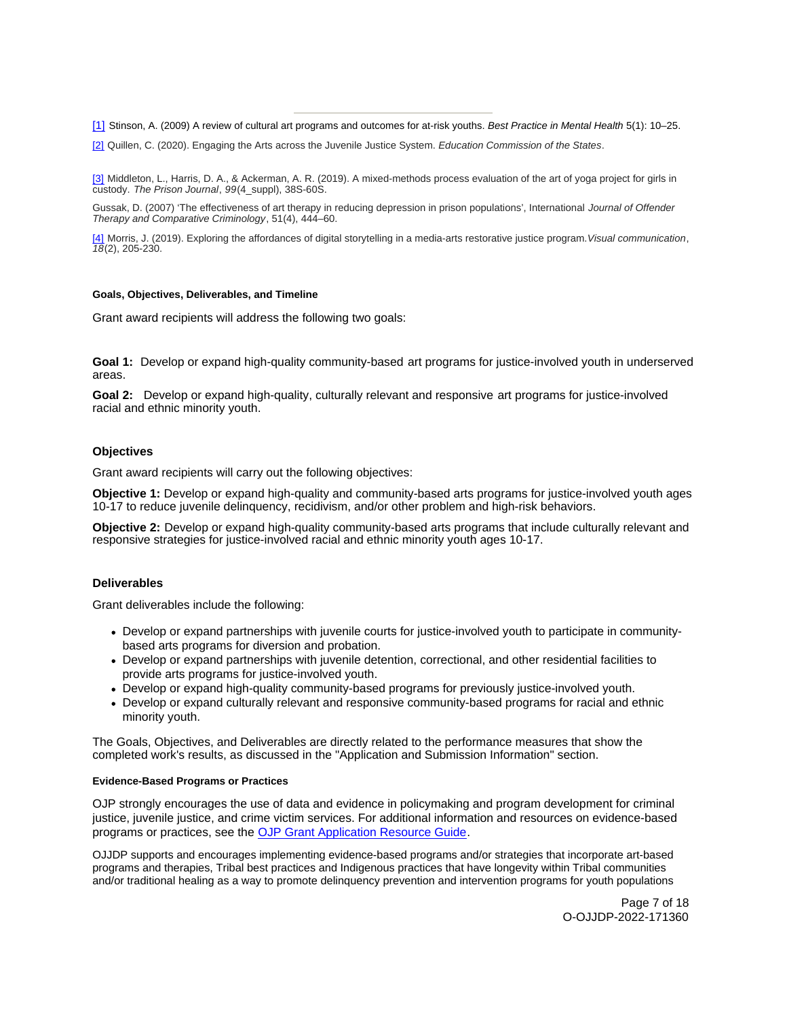<span id="page-6-0"></span>[\[1\]](#_ftnref1) Stinson, A. (2009) A review of cultural art programs and outcomes for at-risk youths. Best Practice in Mental Health 5(1): 10–25. [\[2\]](#_ftnref2) Quillen, C. (2020). Engaging the Arts across the Juvenile Justice System. Education Commission of the States.

[\[3\]](#_ftnref3) Middleton, L., Harris, D. A., & Ackerman, A. R. (2019). A mixed-methods process evaluation of the art of yoga project for girls in custody. The Prison Journal, 99(4\_suppl), 38S-60S.

Gussak, D. (2007) 'The effectiveness of art therapy in reducing depression in prison populations', International Journal of Offender Therapy and Comparative Criminology, 51(4), 444–60.

[\[4\]](#_ftnref4) Morris, J. (2019). Exploring the affordances of digital storytelling in a media-arts restorative justice program. Visual communication, 18(2), 205-230.

#### **Goals, Objectives, Deliverables, and Timeline**

Grant award recipients will address the following two goals:

**Goal 1:**  Develop or expand high-quality community-based art programs for justice-involved youth in underserved areas.

**Goal 2:** Develop or expand high-quality, culturally relevant and responsive art programs for justice-involved racial and ethnic minority youth.

## **Objectives**

Grant award recipients will carry out the following objectives:

**Objective 1:** Develop or expand high-quality and community-based arts programs for justice-involved youth ages 10-17 to reduce juvenile delinquency, recidivism, and/or other problem and high-risk behaviors.

**Objective 2:** Develop or expand high-quality community-based arts programs that include culturally relevant and responsive strategies for justice-involved racial and ethnic minority youth ages 10-17.

## **Deliverables**

Grant deliverables include the following:

- Develop or expand partnerships with juvenile courts for justice-involved youth to participate in communitybased arts programs for diversion and probation.
- Develop or expand partnerships with juvenile detention, correctional, and other residential facilities to provide arts programs for justice-involved youth.
- Develop or expand high-quality community-based programs for previously justice-involved youth.
- Develop or expand culturally relevant and responsive community-based programs for racial and ethnic minority youth.

The Goals, Objectives, and Deliverables are directly related to the performance measures that show the completed work's results, as discussed in the "Application and Submission Information" section.

#### **Evidence-Based Programs or Practices**

OJP strongly encourages the use of data and evidence in policymaking and program development for criminal justice, juvenile justice, and crime victim services. For additional information and resources on evidence-based programs or practices, see the [OJP Grant Application Resource Guide.](https://www.ojp.gov/funding/apply/ojp-grant-application-resource-guide#evidence-based)

OJJDP supports and encourages implementing evidence-based programs and/or strategies that incorporate art-based programs and therapies, Tribal best practices and Indigenous practices that have longevity within Tribal communities and/or traditional healing as a way to promote delinquency prevention and intervention programs for youth populations

> Page 7 of 18 O-OJJDP-2022-171360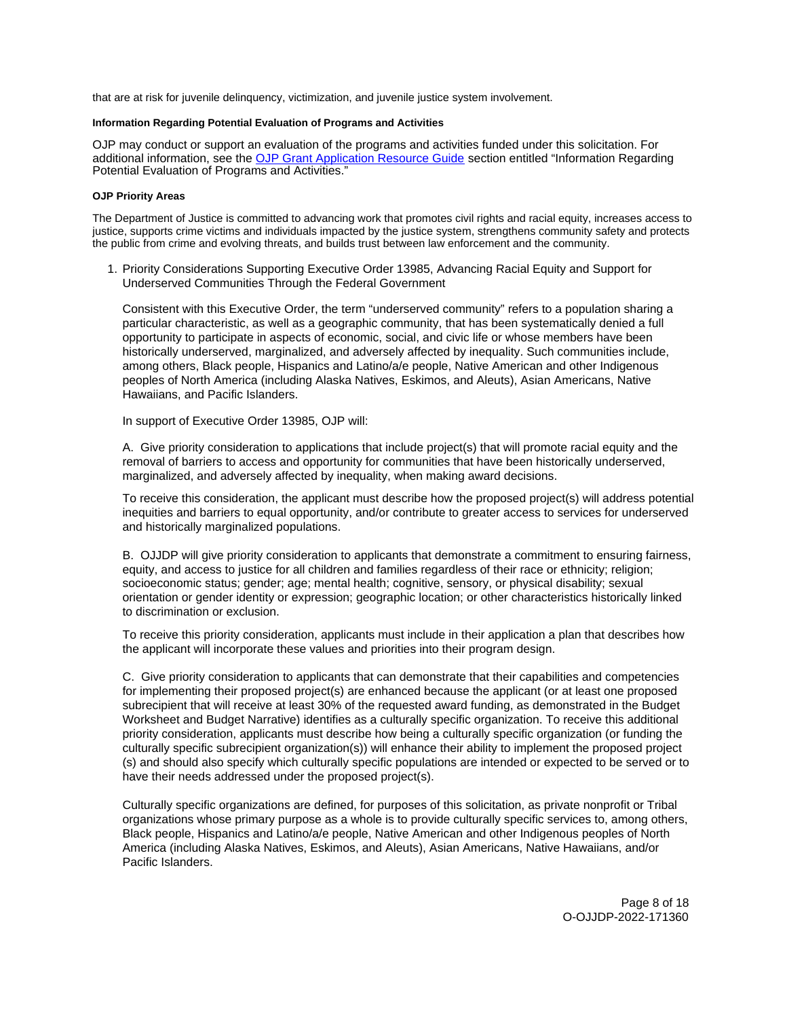<span id="page-7-0"></span>that are at risk for juvenile delinquency, victimization, and juvenile justice system involvement.

#### **Information Regarding Potential Evaluation of Programs and Activities**

OJP may conduct or support an evaluation of the programs and activities funded under this solicitation. For additional information, see the [OJP Grant Application Resource Guide](https://www.ojp.gov/funding/apply/ojp-grant-application-resource-guide#potential-evaluation) section entitled "Information Regarding Potential Evaluation of Programs and Activities."

#### **OJP Priority Areas**

The Department of Justice is committed to advancing work that promotes civil rights and racial equity, increases access to justice, supports crime victims and individuals impacted by the justice system, strengthens community safety and protects the public from crime and evolving threats, and builds trust between law enforcement and the community.

1. Priority Considerations Supporting Executive Order 13985, Advancing Racial Equity and Support for Underserved Communities Through the Federal Government

Consistent with this Executive Order, the term "underserved community" refers to a population sharing a particular characteristic, as well as a geographic community, that has been systematically denied a full opportunity to participate in aspects of economic, social, and civic life or whose members have been historically underserved, marginalized, and adversely affected by inequality. Such communities include, among others, Black people, Hispanics and Latino/a/e people, Native American and other Indigenous peoples of North America (including Alaska Natives, Eskimos, and Aleuts), Asian Americans, Native Hawaiians, and Pacific Islanders.

In support of Executive Order 13985, OJP will:

A. Give priority consideration to applications that include project(s) that will promote racial equity and the removal of barriers to access and opportunity for communities that have been historically underserved, marginalized, and adversely affected by inequality, when making award decisions.

To receive this consideration, the applicant must describe how the proposed project(s) will address potential inequities and barriers to equal opportunity, and/or contribute to greater access to services for underserved and historically marginalized populations.

B. OJJDP will give priority consideration to applicants that demonstrate a commitment to ensuring fairness, equity, and access to justice for all children and families regardless of their race or ethnicity; religion; socioeconomic status; gender; age; mental health; cognitive, sensory, or physical disability; sexual orientation or gender identity or expression; geographic location; or other characteristics historically linked to discrimination or exclusion.

To receive this priority consideration, applicants must include in their application a plan that describes how the applicant will incorporate these values and priorities into their program design.

C. Give priority consideration to applicants that can demonstrate that their capabilities and competencies for implementing their proposed project(s) are enhanced because the applicant (or at least one proposed subrecipient that will receive at least 30% of the requested award funding, as demonstrated in the Budget Worksheet and Budget Narrative) identifies as a culturally specific organization. To receive this additional priority consideration, applicants must describe how being a culturally specific organization (or funding the culturally specific subrecipient organization(s)) will enhance their ability to implement the proposed project (s) and should also specify which culturally specific populations are intended or expected to be served or to have their needs addressed under the proposed project(s).

Culturally specific organizations are defined, for purposes of this solicitation, as private nonprofit or Tribal organizations whose primary purpose as a whole is to provide culturally specific services to, among others, Black people, Hispanics and Latino/a/e people, Native American and other Indigenous peoples of North America (including Alaska Natives, Eskimos, and Aleuts), Asian Americans, Native Hawaiians, and/or Pacific Islanders.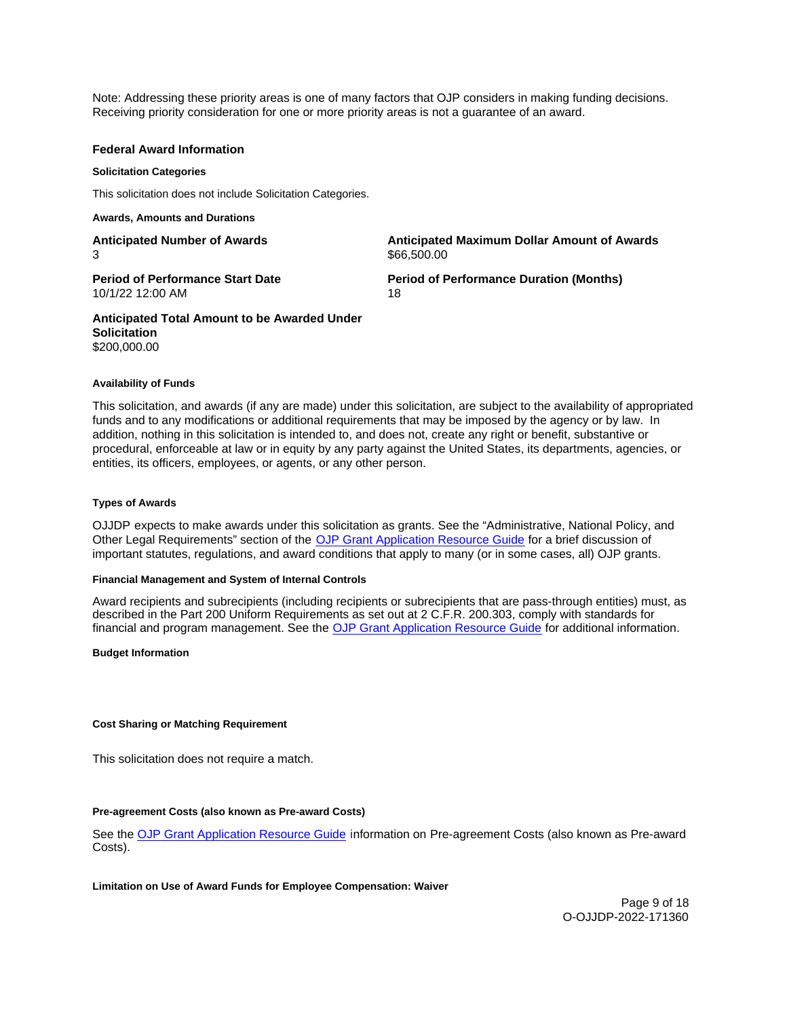<span id="page-8-0"></span>Note: Addressing these priority areas is one of many factors that OJP considers in making funding decisions. Receiving priority consideration for one or more priority areas is not a guarantee of an award.

## **Federal Award Information**

#### **Solicitation Categories**

This solicitation does not include Solicitation Categories.

#### **Awards, Amounts and Durations**

3 \$[66,500.00](https://66,500.00)

**Anticipated Number of Awards Anticipated Maximum Dollar Amount of Awards** 

10/1/22 12:00 AM 18

**Period of Performance Start Date Period of Performance Duration (Months)** 

## **Anticipated Total Amount to be Awarded Under Solicitation**  [\\$200,000.00](https://200,000.00)

#### **Availability of Funds**

This solicitation, and awards (if any are made) under this solicitation, are subject to the availability of appropriated funds and to any modifications or additional requirements that may be imposed by the agency or by law. In addition, nothing in this solicitation is intended to, and does not, create any right or benefit, substantive or procedural, enforceable at law or in equity by any party against the United States, its departments, agencies, or entities, its officers, employees, or agents, or any other person.

#### **Types of Awards**

OJJDP expects to make awards under this solicitation as grants. See the "Administrative, National Policy, and Other Legal Requirements" section of the [OJP Grant Application Resource Guide](https://www.ojp.gov/funding/apply/ojp-grant-application-resource-guide#administrative) for a brief discussion of important statutes, regulations, and award conditions that apply to many (or in some cases, all) OJP grants.

#### **Financial Management and System of Internal Controls**

Award recipients and subrecipients (including recipients or subrecipients that are pass-through entities) must, as described in the Part 200 Uniform Requirements as set out at 2 C.F.R. 200.303, comply with standards for financial and program management. See the [OJP Grant Application Resource Guide](https://www.ojp.gov/funding/apply/ojp-grant-application-resource-guide#fm-internal-controls) for additional information.

#### **Budget Information**

#### **Cost Sharing or Matching Requirement**

This solicitation does not require a match.

## **Pre-agreement Costs (also known as Pre-award Costs)**

See the [OJP Grant Application Resource Guide](https://www.ojp.gov/funding/apply/ojp-grant-application-resource-guide#pre-agreement-costs) information on Pre-agreement Costs (also known as Pre-award Costs).

**Limitation on Use of Award Funds for Employee Compensation: Waiver**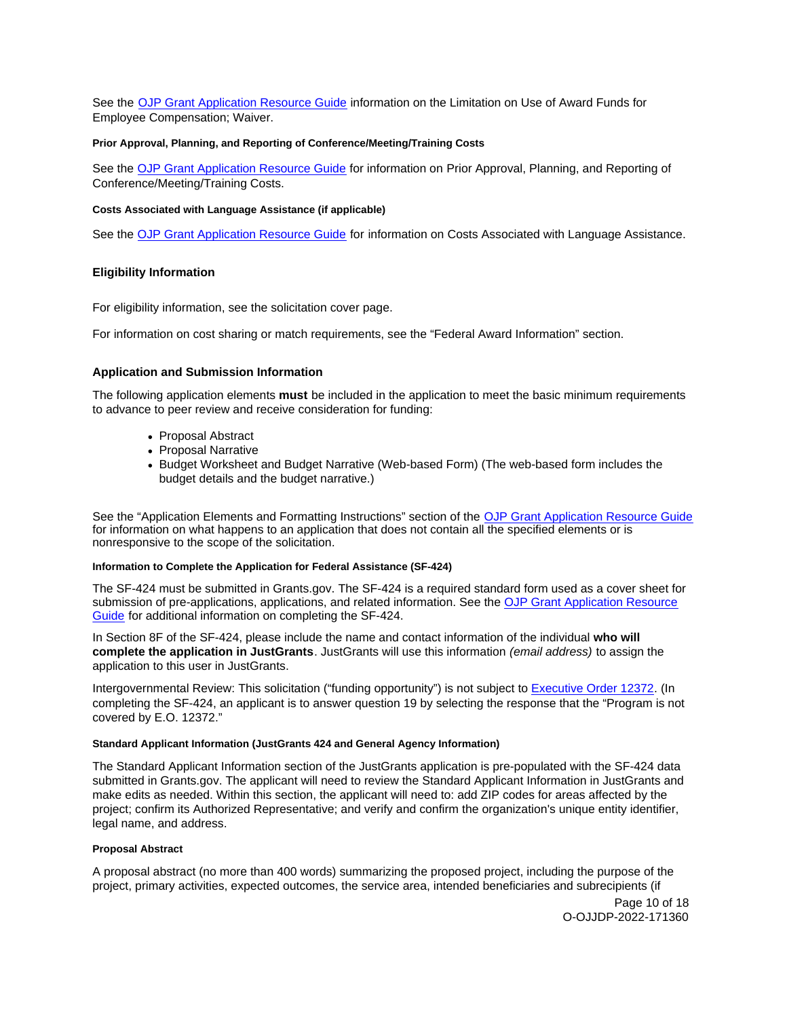<span id="page-9-0"></span>See the [OJP Grant Application Resource Guide](https://www.ojp.gov/funding/apply/ojp-grant-application-resource-guide#limitation-use-award) information on the Limitation on Use of Award Funds for Employee Compensation; Waiver.

#### **Prior Approval, Planning, and Reporting of Conference/Meeting/Training Costs**

See the [OJP Grant Application Resource Guide](https://www.ojp.gov/funding/apply/ojp-grant-application-resource-guide#prior-approval) for information on Prior Approval, Planning, and Reporting of Conference/Meeting/Training Costs.

#### **Costs Associated with Language Assistance (if applicable)**

See the [OJP Grant Application Resource Guide](https://www.ojp.gov/funding/apply/ojp-grant-application-resource-guide#costs-associated) for information on Costs Associated with Language Assistance.

#### **Eligibility Information**

For eligibility information, see the solicitation cover page.

For information on cost sharing or match requirements, see the "Federal Award Information" section.

#### **Application and Submission Information**

The following application elements **must** be included in the application to meet the basic minimum requirements to advance to peer review and receive consideration for funding:

- Proposal Abstract
- Proposal Narrative
- Budget Worksheet and Budget Narrative (Web-based Form) (The web-based form includes the budget details and the budget narrative.)

See the "Application Elements and Formatting Instructions" section of the [OJP Grant Application Resource Guide](https://www.ojp.gov/funding/apply/ojp-grant-application-resource-guide#application-elements)  for information on what happens to an application that does not contain all the specified elements or is nonresponsive to the scope of the solicitation.

#### **Information to Complete the Application for Federal Assistance (SF-424)**

The SF-424 must be submitted in [Grants.gov](https://Grants.gov). The SF-424 is a required standard form used as a cover sheet for submission of pre-applications, applications, and related information. See the [OJP Grant Application Resource](https://www.ojp.gov/funding/apply/ojp-grant-application-resource-guide#complete-application)  [Guide](https://www.ojp.gov/funding/apply/ojp-grant-application-resource-guide#complete-application) for additional information on completing the SF-424.

In Section 8F of the SF-424, please include the name and contact information of the individual **who will complete the application in JustGrants**. JustGrants will use this information (email address) to assign the application to this user in JustGrants.

Intergovernmental Review: This solicitation ("funding opportunity") is not subject to [Executive Order 12372.](https://www.archives.gov/federal-register/codification/executive-order/12372.html) (In completing the SF-424, an applicant is to answer question 19 by selecting the response that the "Program is not covered by E.O. 12372."

#### **Standard Applicant Information (JustGrants 424 and General Agency Information)**

The Standard Applicant Information section of the JustGrants application is pre-populated with the SF-424 data submitted in [Grants.gov.](https://Grants.gov) The applicant will need to review the Standard Applicant Information in JustGrants and make edits as needed. Within this section, the applicant will need to: add ZIP codes for areas affected by the project; confirm its Authorized Representative; and verify and confirm the organization's unique entity identifier, legal name, and address.

#### **Proposal Abstract**

A proposal abstract (no more than 400 words) summarizing the proposed project, including the purpose of the project, primary activities, expected outcomes, the service area, intended beneficiaries and subrecipients (if

Page 10 of 18 O-OJJDP-2022-171360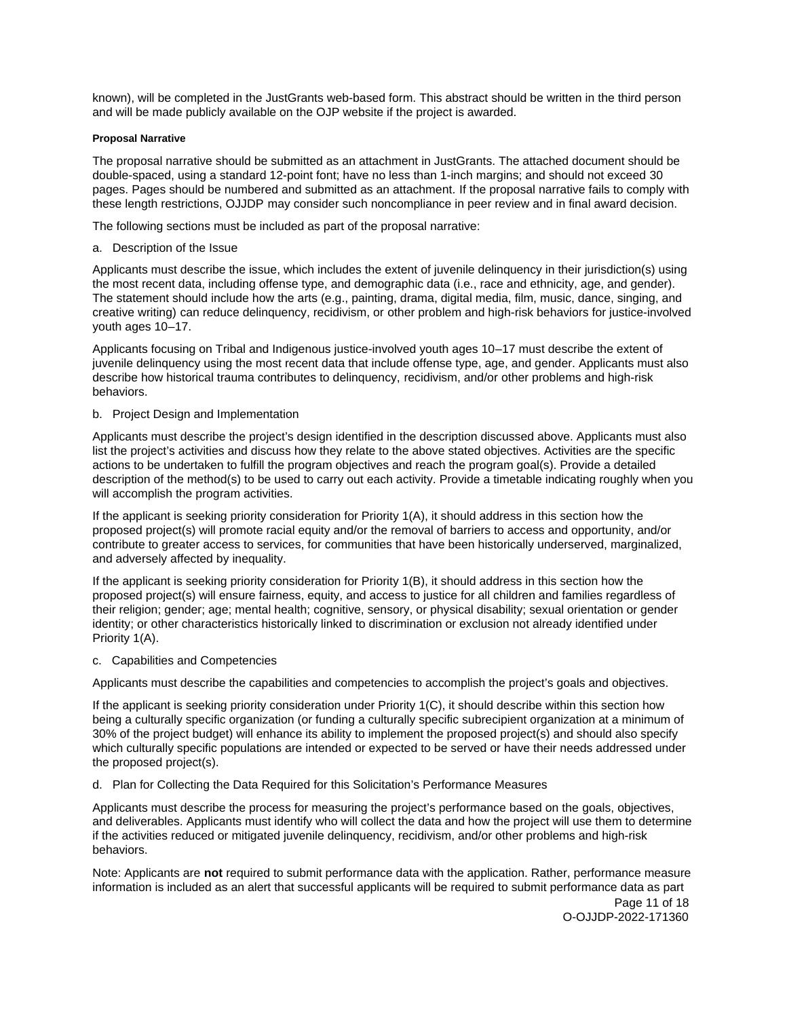<span id="page-10-0"></span>known), will be completed in the JustGrants web-based form. This abstract should be written in the third person and will be made publicly available on the OJP website if the project is awarded.

## **Proposal Narrative**

The proposal narrative should be submitted as an attachment in JustGrants. The attached document should be double-spaced, using a standard 12-point font; have no less than 1-inch margins; and should not exceed 30 pages. Pages should be numbered and submitted as an attachment. If the proposal narrative fails to comply with these length restrictions, OJJDP may consider such noncompliance in peer review and in final award decision.

The following sections must be included as part of the proposal narrative:

a. Description of the Issue

Applicants must describe the issue, which includes the extent of juvenile delinquency in their jurisdiction(s) using the most recent data, including offense type, and demographic data (i.e., race and ethnicity, age, and gender). The statement should include how the arts (e.g., painting, drama, digital media, film, music, dance, singing, and creative writing) can reduce delinquency, recidivism, or other problem and high-risk behaviors for justice-involved youth ages 10–17.

Applicants focusing on Tribal and Indigenous justice-involved youth ages 10–17 must describe the extent of juvenile delinquency using the most recent data that include offense type, age, and gender. Applicants must also describe how historical trauma contributes to delinquency, recidivism, and/or other problems and high-risk behaviors.

## b. Project Design and Implementation

Applicants must describe the project's design identified in the description discussed above. Applicants must also list the project's activities and discuss how they relate to the above stated objectives. Activities are the specific actions to be undertaken to fulfill the program objectives and reach the program goal(s). Provide a detailed description of the method(s) to be used to carry out each activity. Provide a timetable indicating roughly when you will accomplish the program activities.

If the applicant is seeking priority consideration for Priority 1(A), it should address in this section how the proposed project(s) will promote racial equity and/or the removal of barriers to access and opportunity, and/or contribute to greater access to services, for communities that have been historically underserved, marginalized, and adversely affected by inequality.

If the applicant is seeking priority consideration for Priority 1(B), it should address in this section how the proposed project(s) will ensure fairness, equity, and access to justice for all children and families regardless of their religion; gender; age; mental health; cognitive, sensory, or physical disability; sexual orientation or gender identity; or other characteristics historically linked to discrimination or exclusion not already identified under Priority 1(A).

## c. Capabilities and Competencies

Applicants must describe the capabilities and competencies to accomplish the project's goals and objectives.

If the applicant is seeking priority consideration under Priority 1(C), it should describe within this section how being a culturally specific organization (or funding a culturally specific subrecipient organization at a minimum of 30% of the project budget) will enhance its ability to implement the proposed project(s) and should also specify which culturally specific populations are intended or expected to be served or have their needs addressed under the proposed project(s).

d. Plan for Collecting the Data Required for this Solicitation's Performance Measures

Applicants must describe the process for measuring the project's performance based on the goals, objectives, and deliverables. Applicants must identify who will collect the data and how the project will use them to determine if the activities reduced or mitigated juvenile delinquency, recidivism, and/or other problems and high-risk behaviors.

Note: Applicants are **not** required to submit performance data with the application. Rather, performance measure information is included as an alert that successful applicants will be required to submit performance data as part

> Page 11 of 18 O-OJJDP-2022-171360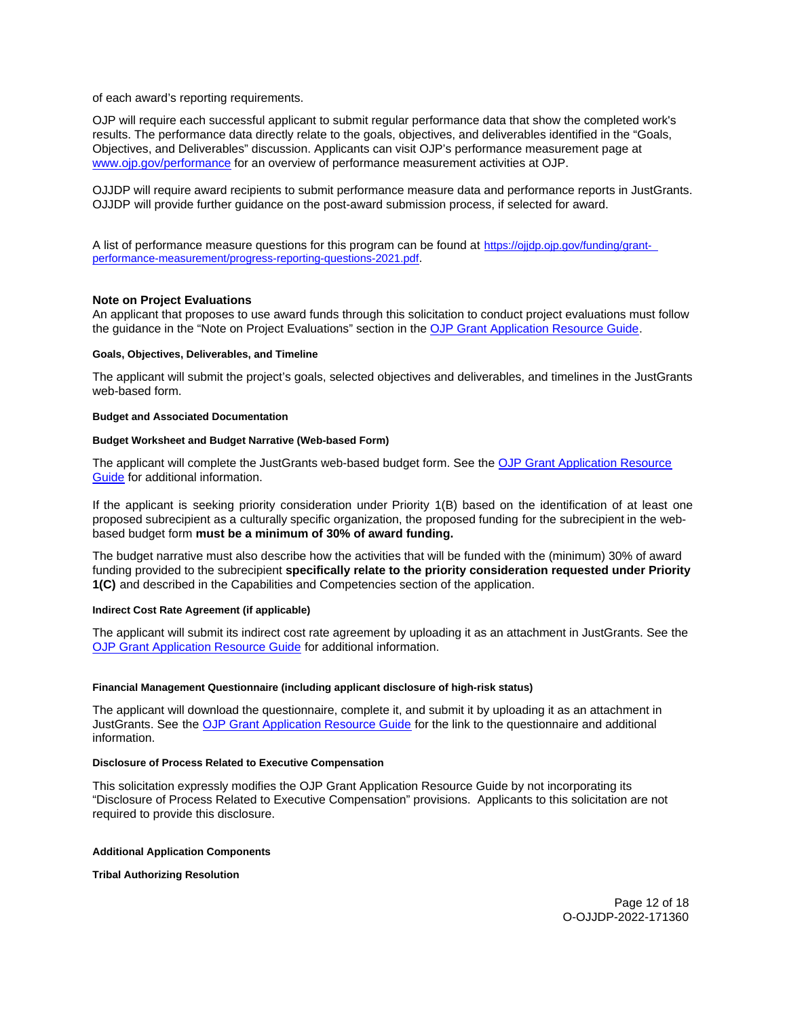<span id="page-11-0"></span>of each award's reporting requirements.

OJP will require each successful applicant to submit regular performance data that show the completed work's results. The performance data directly relate to the goals, objectives, and deliverables identified in the "Goals, Objectives, and Deliverables" discussion. Applicants can visit OJP's performance measurement page at [www.ojp.gov/performance](https://www.ojp.gov/performance) for an overview of performance measurement activities at OJP.

OJJDP will require award recipients to submit performance measure data and performance reports in JustGrants. OJJDP will provide further guidance on the post-award submission process, if selected for award.

A list of performance measure questions for this program can be found at [https://ojjdp.ojp.gov/funding/grant](https://ojjdp.ojp.gov/funding/grant-performance-measurement/progress-reporting-questions-2021.pdf)[performance-measurement/progress-reporting-questions-2021.pdf.](https://ojjdp.ojp.gov/funding/grant-performance-measurement/progress-reporting-questions-2021.pdf)

## **Note on Project Evaluations**

An applicant that proposes to use award funds through this solicitation to conduct project evaluations must follow the guidance in the "Note on Project Evaluations" section in the [OJP Grant Application Resource Guide.](https://www.ojp.gov/funding/apply/ojp-grant-application-resource-guide#project-evaluations)

#### **Goals, Objectives, Deliverables, and Timeline**

The applicant will submit the project's goals, selected objectives and deliverables, and timelines in the JustGrants web-based form.

#### **Budget and Associated Documentation**

#### **Budget Worksheet and Budget Narrative (Web-based Form)**

The applicant will complete the JustGrants web-based budget form. See the [OJP Grant Application Resource](https://www.ojp.gov/funding/apply/ojp-grant-application-resource-guide#budget-prep)  [Guide](https://www.ojp.gov/funding/apply/ojp-grant-application-resource-guide#budget-prep) for additional information.

If the applicant is seeking priority consideration under Priority 1(B) based on the identification of at least one proposed subrecipient as a culturally specific organization, the proposed funding for the subrecipient in the webbased budget form **must be a minimum of 30% of award funding.** 

The budget narrative must also describe how the activities that will be funded with the (minimum) 30% of award funding provided to the subrecipient **specifically relate to the priority consideration requested under Priority 1(C)** and described in the Capabilities and Competencies section of the application.

#### **Indirect Cost Rate Agreement (if applicable)**

The applicant will submit its indirect cost rate agreement by uploading it as an attachment in JustGrants. See the [OJP Grant Application Resource Guide](https://www.ojp.gov/funding/apply/ojp-grant-application-resource-guide#indirect-cost) for additional information.

#### **Financial Management Questionnaire (including applicant disclosure of high-risk status)**

The applicant will download the questionnaire, complete it, and submit it by uploading it as an attachment in JustGrants. See the [OJP Grant Application Resource Guide](https://www.ojp.gov/funding/apply/ojp-grant-application-resource-guide#fm-internal-controls-questionnaire) for the link to the questionnaire and additional information.

## **Disclosure of Process Related to Executive Compensation**

This solicitation expressly modifies the OJP Grant Application Resource Guide by not incorporating its "Disclosure of Process Related to Executive Compensation" provisions. Applicants to this solicitation are not required to provide this disclosure.

#### **Additional Application Components**

**Tribal Authorizing Resolution**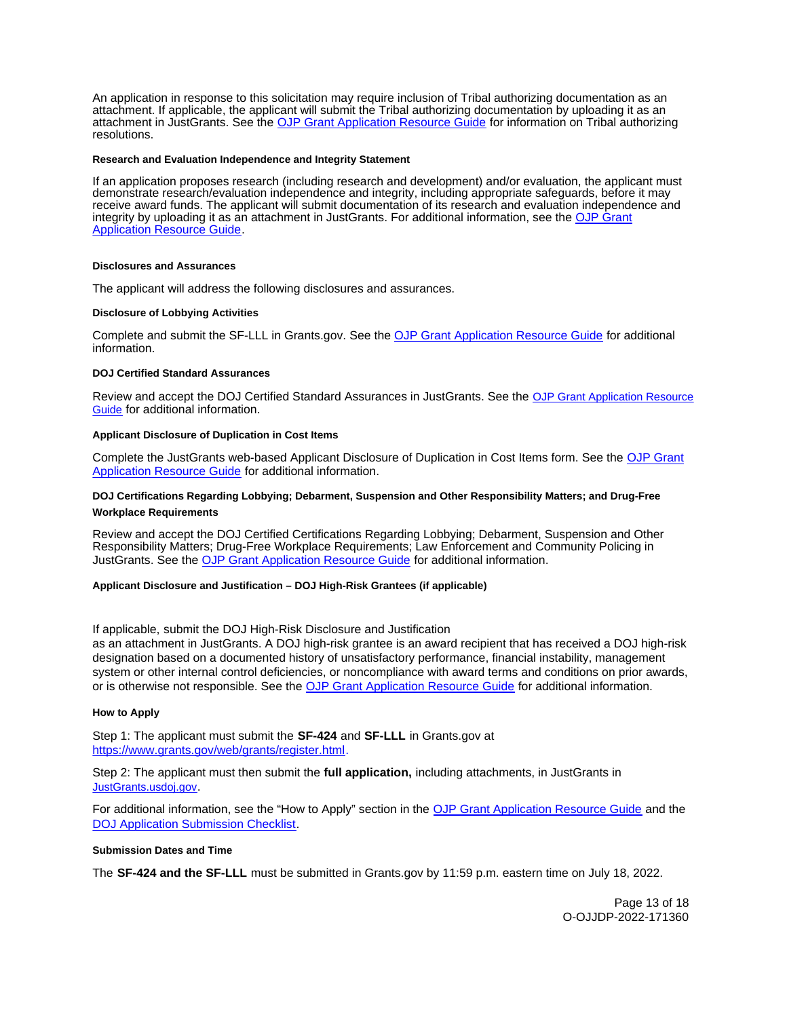<span id="page-12-0"></span>An application in response to this solicitation may require inclusion of Tribal authorizing documentation as an attachment. If applicable, the applicant will submit the Tribal authorizing documentation by uploading it as an attachment in JustGrants. See the [OJP Grant Application Resource Guide](https://www.ojp.gov/funding/apply/ojp-grant-application-resource-guide#tribal-authorizing-resolution) for information on Tribal authorizing resolutions.

#### **Research and Evaluation Independence and Integrity Statement**

If an application proposes research (including research and development) and/or evaluation, the applicant must demonstrate research/evaluation independence and integrity, including appropriate safeguards, before it may receive award funds. The applicant will submit documentation of its research and evaluation independence and integrity by uploading it as an attachment in JustGrants. For additional information, see the [OJP Grant](https://www.ojp.gov/funding/apply/ojp-grant-application-resource-guide#research-evaluation)  [Application Resource Guide.](https://www.ojp.gov/funding/apply/ojp-grant-application-resource-guide#research-evaluation)

#### **Disclosures and Assurances**

The applicant will address the following disclosures and assurances.

#### **Disclosure of Lobbying Activities**

Complete and submit the SF-LLL in [Grants.gov.](https://Grants.gov) See the [OJP Grant Application Resource Guide](https://www.ojp.gov/funding/apply/ojp-grant-application-resource-guide#disclosure-lobby) for additional information.

### **DOJ Certified Standard Assurances**

Review and accept the DOJ Certified Standard Assurances in JustGrants. See the [OJP Grant Application Resource](https://www.ojp.gov/funding/apply/ojp-grant-application-resource-guide#administrative)  [Guide](https://www.ojp.gov/funding/apply/ojp-grant-application-resource-guide#administrative) for additional information.

#### **Applicant Disclosure of Duplication in Cost Items**

Complete the JustGrants web-based Applicant Disclosure of Duplication in Cost Items form. See the [OJP Grant](https://www.ojp.gov/funding/apply/ojp-grant-application-resource-guide#applicant-disclosure-pending-applications)  [Application Resource Guide](https://www.ojp.gov/funding/apply/ojp-grant-application-resource-guide#applicant-disclosure-pending-applications) for additional information.

## **DOJ Certifications Regarding Lobbying; Debarment, Suspension and Other Responsibility Matters; and Drug-Free Workplace Requirements**

Review and accept the DOJ Certified Certifications Regarding Lobbying; Debarment, Suspension and Other Responsibility Matters; Drug-Free Workplace Requirements; Law Enforcement and Community Policing in JustGrants. See the [OJP Grant Application Resource Guide](https://www.ojp.gov/funding/apply/ojp-grant-application-resource-guide#administrative) for additional information.

#### **Applicant Disclosure and Justification – DOJ High-Risk Grantees (if applicable)**

If applicable, submit the DOJ High-Risk Disclosure and Justification

as an attachment in JustGrants. A DOJ high-risk grantee is an award recipient that has received a DOJ high-risk designation based on a documented history of unsatisfactory performance, financial instability, management system or other internal control deficiencies, or noncompliance with award terms and conditions on prior awards, or is otherwise not responsible. See the [OJP Grant Application Resource Guide](https://www.ojp.gov/funding/apply/ojp-grant-application-resource-guide#applicant-disclosure-justification) for additional information.

## **How to Apply**

Step 1: The applicant must submit the **SF-424** and **SF-LLL** in [Grants.gov](https://Grants.gov) at [https://www.grants.gov/web/grants/register.html.](https://www.grants.gov/web/grants/register.html)

Step 2: The applicant must then submit the **full application,** including attachments, in JustGrants in [JustGrants.usdoj.gov.](https://justicegrants.usdoj.gov/)

For additional information, see the "How to Apply" section in the [OJP Grant Application Resource Guide](https://www.ojp.gov/funding/apply/ojp-grant-application-resource-guide#apply) and the [DOJ Application Submission Checklist.](https://justicegrants.usdoj.gov/sites/g/files/xyckuh296/files/media/document/appln-submission-checklist.pdf)

#### **Submission Dates and Time**

The **SF-424 and the SF-LLL** must be submitted in [Grants.gov](https://Grants.gov) by 11:59 p.m. eastern time on July 18, 2022.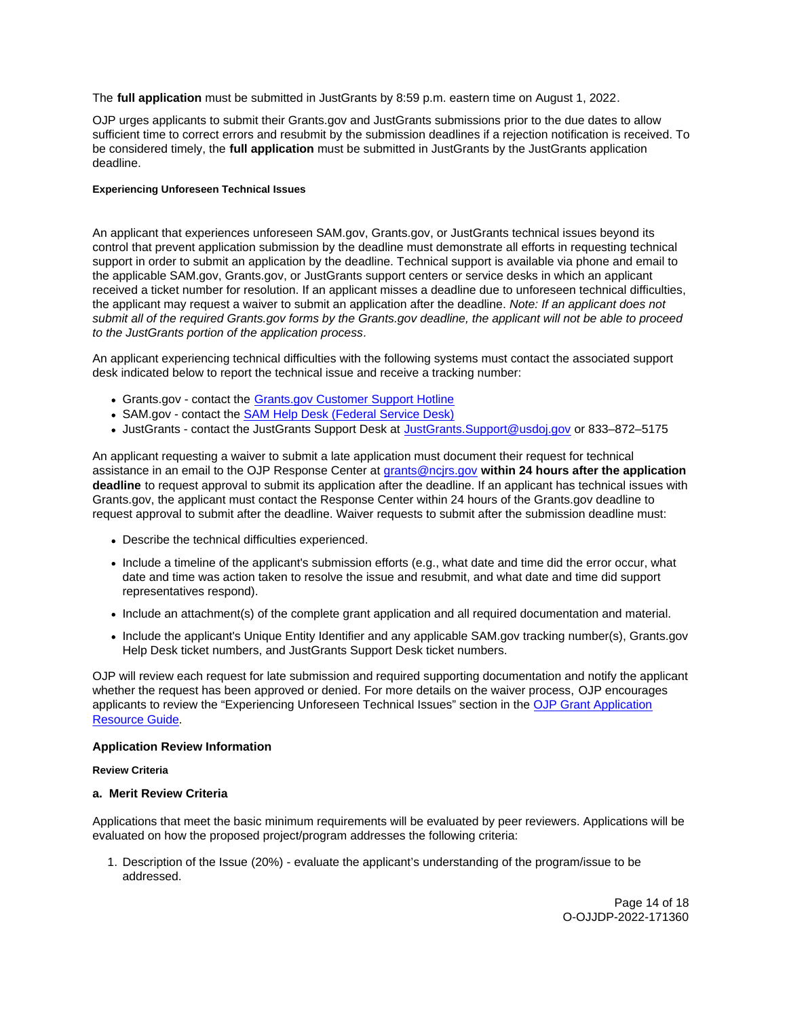<span id="page-13-0"></span>The **full application** must be submitted in JustGrants by 8:59 p.m. eastern time on August 1, 2022.

OJP urges applicants to submit their [Grants.gov](https://Grants.gov) and JustGrants submissions prior to the due dates to allow sufficient time to correct errors and resubmit by the submission deadlines if a rejection notification is received. To be considered timely, the **full application** must be submitted in JustGrants by the JustGrants application deadline.

## **Experiencing Unforeseen Technical Issues**

An applicant that experiences unforeseen SAM.gov, [Grants.gov,](https://Grants.gov) or JustGrants technical issues beyond its control that prevent application submission by the deadline must demonstrate all efforts in requesting technical support in order to submit an application by the deadline. Technical support is available via phone and email to the applicable SAM.gov, [Grants.gov,](https://Grants.gov) or JustGrants support centers or service desks in which an applicant received a ticket number for resolution. If an applicant misses a deadline due to unforeseen technical difficulties, the applicant may request a waiver to submit an application after the deadline. Note: If an applicant does not submit all of the required [Grants.gov](https://Grants.gov) forms by the [Grants.gov](https://Grants.gov) deadline, the applicant will not be able to proceed to the JustGrants portion of the application process.

An applicant experiencing technical difficulties with the following systems must contact the associated support desk indicated below to report the technical issue and receive a tracking number:

- [Grants.gov](https://Grants.gov)  contact the Grants.gov Customer Support Hotline
- SAM.gov contact the SAM Help Desk (Federal Service Desk)
- JustGrants contact the JustGrants Support Desk at [JustGrants.Support@usdoj.gov](mailto:JustGrants.Support@usdoj.gov) or 833–872–5175

An applicant requesting a waiver to submit a late application must document their request for technical assistance in an email to the OJP Response Center at [grants@ncjrs.gov](file:///C:/Users/local_Yehj/INetCache/Content.Outlook/20U4XBR7/grants@ncjrs.gov) **within 24 hours after the application deadline** to request approval to submit its application after the deadline. If an applicant has technical issues with [Grants.gov,](https://Grants.gov) the applicant must contact the Response Center within 24 hours of the [Grants.gov](https://Grants.gov) deadline to request approval to submit after the deadline. Waiver requests to submit after the submission deadline must:

- Describe the technical difficulties experienced.
- Include a timeline of the applicant's submission efforts (e.g., what date and time did the error occur, what date and time was action taken to resolve the issue and resubmit, and what date and time did support representatives respond).
- Include an attachment(s) of the complete grant application and all required documentation and material.
- Include the applicant's Unique Entity Identifier and any applicable SAM.gov tracking number(s), Grants.gov Help Desk ticket numbers, and JustGrants Support Desk ticket numbers.

OJP will review each request for late submission and required supporting documentation and notify the applicant whether the request has been approved or denied. For more details on the waiver process, OJP encourages applicants to review the "Experiencing Unforeseen Technical Issues" section in the [OJP Grant Application](https://www.ojp.gov/funding/apply/ojp-grant-application-resource-guide#experiencing-unforeseen-technical-issues)  [Resource Guide](https://www.ojp.gov/funding/apply/ojp-grant-application-resource-guide#experiencing-unforeseen-technical-issues).

## **Application Review Information**

#### **Review Criteria**

# **a. Merit Review Criteria**

Applications that meet the basic minimum requirements will be evaluated by peer reviewers. Applications will be evaluated on how the proposed project/program addresses the following criteria:

1. Description of the Issue (20%) - evaluate the applicant's understanding of the program/issue to be addressed.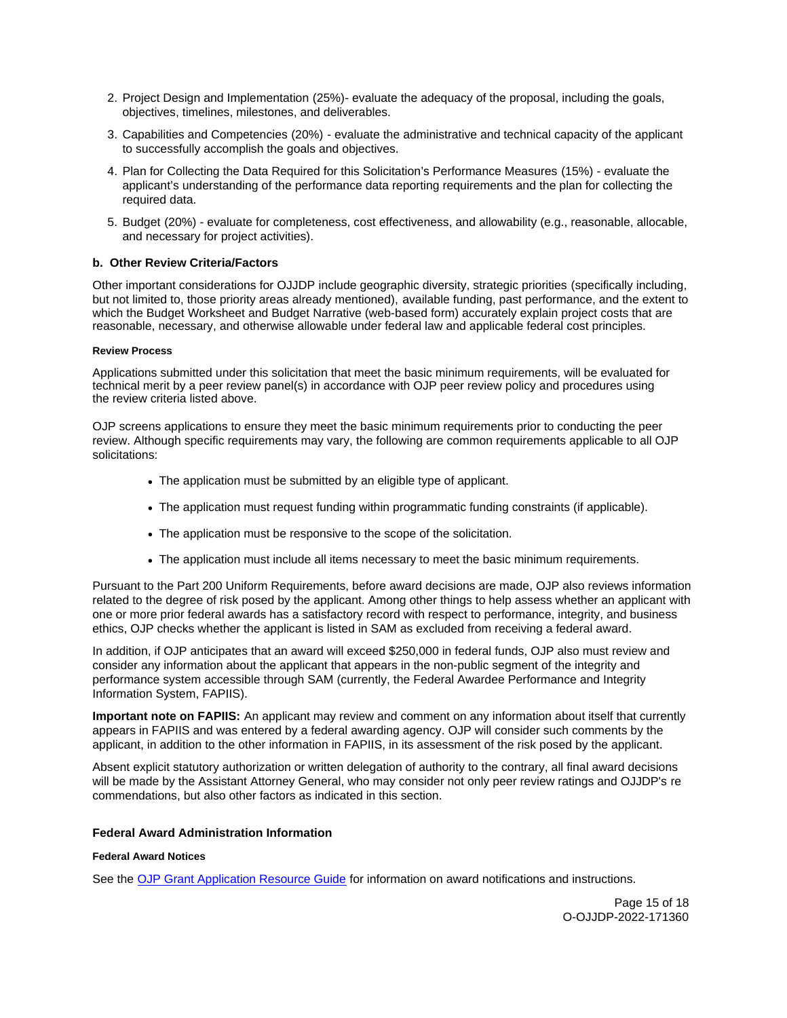- <span id="page-14-0"></span>2. Project Design and Implementation (25%)- evaluate the adequacy of the proposal, including the goals, objectives, timelines, milestones, and deliverables.
- 3. Capabilities and Competencies (20%) evaluate the administrative and technical capacity of the applicant to successfully accomplish the goals and objectives.
- 4. Plan for Collecting the Data Required for this Solicitation's Performance Measures (15%) evaluate the applicant's understanding of the performance data reporting requirements and the plan for collecting the required data.
- 5. Budget (20%) evaluate for completeness, cost effectiveness, and allowability (e.g., reasonable, allocable, and necessary for project activities).

# **b. Other Review Criteria/Factors**

Other important considerations for OJJDP include geographic diversity, strategic priorities (specifically including, but not limited to, those priority areas already mentioned), available funding, past performance, and the extent to which the Budget Worksheet and Budget Narrative (web-based form) accurately explain project costs that are reasonable, necessary, and otherwise allowable under federal law and applicable federal cost principles.

## **Review Process**

Applications submitted under this solicitation that meet the basic minimum requirements, will be evaluated for technical merit by a peer review panel(s) in accordance with OJP peer review policy and procedures using the review criteria listed above.

OJP screens applications to ensure they meet the basic minimum requirements prior to conducting the peer review. Although specific requirements may vary, the following are common requirements applicable to all OJP solicitations:

- The application must be submitted by an eligible type of applicant.
- The application must request funding within programmatic funding constraints (if applicable).
- The application must be responsive to the scope of the solicitation.
- The application must include all items necessary to meet the basic minimum requirements.

Pursuant to the Part 200 Uniform Requirements, before award decisions are made, OJP also reviews information related to the degree of risk posed by the applicant. Among other things to help assess whether an applicant with one or more prior federal awards has a satisfactory record with respect to performance, integrity, and business ethics, OJP checks whether the applicant is listed in SAM as excluded from receiving a federal award.

In addition, if OJP anticipates that an award will exceed \$250,000 in federal funds, OJP also must review and consider any information about the applicant that appears in the non-public segment of the integrity and performance system accessible through SAM (currently, the Federal Awardee Performance and Integrity Information System, FAPIIS).

**Important note on FAPIIS:** An applicant may review and comment on any information about itself that currently appears in FAPIIS and was entered by a federal awarding agency. OJP will consider such comments by the applicant, in addition to the other information in FAPIIS, in its assessment of the risk posed by the applicant.

Absent explicit statutory authorization or written delegation of authority to the contrary, all final award decisions will be made by the Assistant Attorney General, who may consider not only peer review ratings and OJJDP's re commendations, but also other factors as indicated in this section.

## **Federal Award Administration Information**

## **Federal Award Notices**

See the [OJP Grant Application Resource Guide](https://www.ojp.gov/funding/apply/ojp-grant-application-resource-guide#federal-award-notices) for information on award notifications and instructions.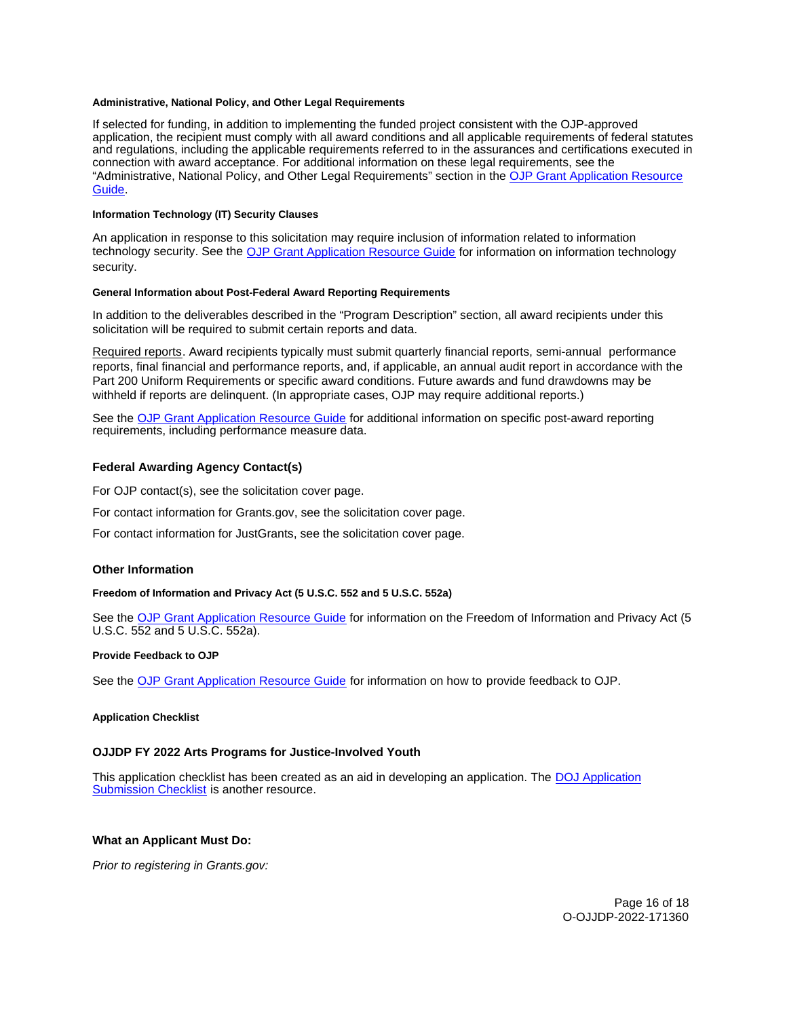## <span id="page-15-0"></span>**Administrative, National Policy, and Other Legal Requirements**

If selected for funding, in addition to implementing the funded project consistent with the OJP-approved application, the recipient must comply with all award conditions and all applicable requirements of federal statutes and regulations, including the applicable requirements referred to in the assurances and certifications executed in connection with award acceptance. For additional information on these legal requirements, see the "Administrative, National Policy, and Other Legal Requirements" section in the [OJP Grant Application Resource](https://www.ojp.gov/funding/apply/ojp-grant-application-resource-guide#administrative)  [Guide.](https://www.ojp.gov/funding/apply/ojp-grant-application-resource-guide#administrative)

## **Information Technology (IT) Security Clauses**

An application in response to this solicitation may require inclusion of information related to information technology security. See the [OJP Grant Application Resource Guide](https://www.ojp.gov/funding/apply/ojp-grant-application-resource-guide#information-technology) for information on information technology security.

#### **General Information about Post-Federal Award Reporting Requirements**

In addition to the deliverables described in the "Program Description" section, all award recipients under this solicitation will be required to submit certain reports and data.

Required reports. Award recipients typically must submit quarterly financial reports, semi-annual performance reports, final financial and performance reports, and, if applicable, an annual audit report in accordance with the Part 200 Uniform Requirements or specific award conditions. Future awards and fund drawdowns may be withheld if reports are delinquent. (In appropriate cases, OJP may require additional reports.)

See the [OJP Grant Application Resource Guide](https://www.ojp.gov/funding/apply/ojp-grant-application-resource-guide#general-information) for additional information on specific post-award reporting requirements, including performance measure data.

#### **Federal Awarding Agency Contact(s)**

For OJP contact(s), see the solicitation cover page.

For contact information for [Grants.gov](https://Grants.gov), see the solicitation cover page.

For contact information for JustGrants, see the solicitation cover page.

#### **Other Information**

## **Freedom of Information and Privacy Act (5 U.S.C. 552 and 5 U.S.C. 552a)**

See the [OJP Grant Application Resource Guide](https://www.ojp.gov/funding/apply/ojp-grant-application-resource-guide#foia) for information on the Freedom of Information and Privacy Act (5 U.S.C. 552 and 5 U.S.C. 552a).

## **Provide Feedback to OJP**

See the [OJP Grant Application Resource Guide](https://www.ojp.gov/funding/apply/ojp-grant-application-resource-guide#feedback) for information on how to provide feedback to OJP.

#### **Application Checklist**

## **OJJDP FY 2022 Arts Programs for Justice-Involved Youth**

This application checklist has been created as an aid in developing an application. The DOJ Application [Submission Checklist](https://justicegrants.usdoj.gov/sites/g/files/xyckuh296/files/media/document/appln-submission-checklist.pdf) is another resource.

#### **What an Applicant Must Do:**

Prior to registering in [Grants.gov](https://Grants.gov):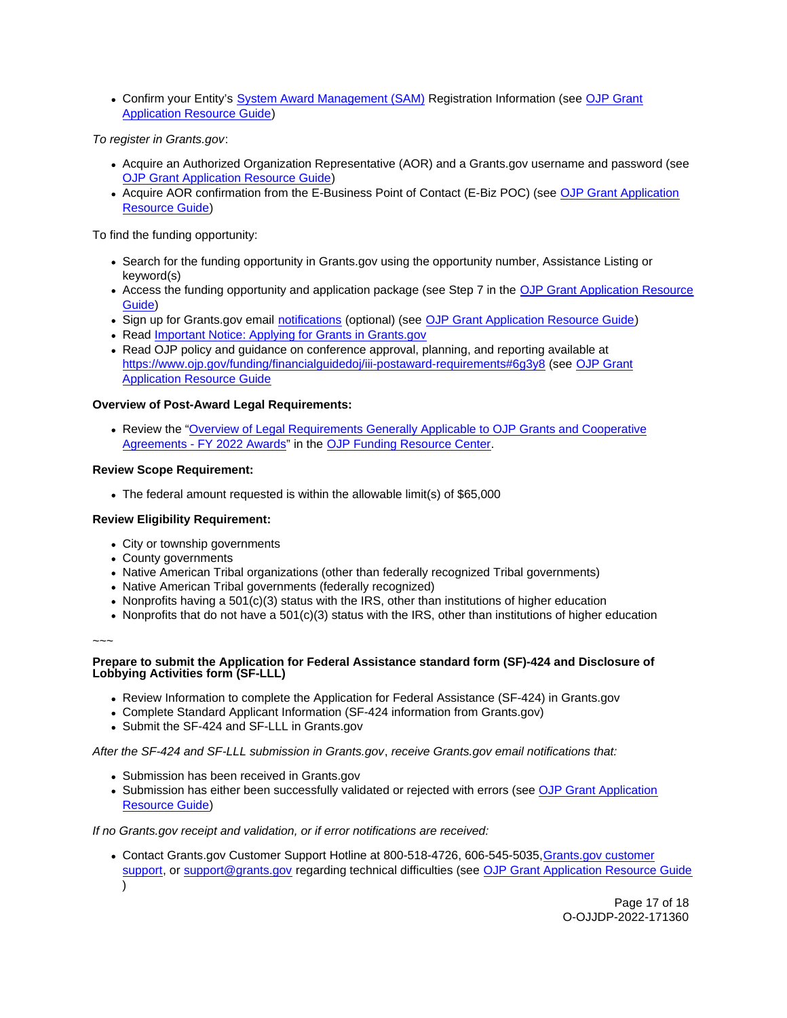Confirm your Entity's [System Award Management \(SAM\)](https://sam.gov/SAM/) Registration Information (see [OJP Grant](https://www.ojp.gov/funding/apply/ojp-grant-application-resource-guide#apply)  [Application Resource Guide\)](https://www.ojp.gov/funding/apply/ojp-grant-application-resource-guide#apply)

# To register in [Grants.gov](https://Grants.gov):

- Acquire an Authorized Organization Representative (AOR) and a [Grants.gov](https://Grants.gov) username and password (see [OJP Grant Application Resource Guide\)](https://www.ojp.gov/funding/apply/ojp-grant-application-resource-guide#apply)
- Acquire AOR confirmation from the E-Business Point of Contact (E-Biz POC) (see OJP Grant Application [Resource Guide\)](https://www.ojp.gov/funding/apply/ojp-grant-application-resource-guide#apply)

To find the funding opportunity:

- Search for the funding opportunity in [Grants.gov](https://Grants.gov) using the opportunity number, Assistance Listing or keyword(s)
- Access the funding opportunity and application package (see Step 7 in the [OJP Grant Application Resource](https://www.ojp.gov/funding/apply/ojp-grant-application-resource-guide#apply)  [Guide\)](https://www.ojp.gov/funding/apply/ojp-grant-application-resource-guide#apply)
- Sign up for [Grants.gov](https://Grants.gov) email [notifications](https://www.grants.gov/web/grants/manage-subscriptions.html) (optional) (see [OJP Grant Application Resource Guide\)](https://www.ojp.gov/funding/apply/ojp-grant-application-resource-guide#apply)
- Read Important Notice: Applying for Grants in Grants.gov
- Read OJP policy and quidance on conference approval, planning, and reporting available at <https://www.ojp.gov/funding/financialguidedoj/iii-postaward-requirements#6g3y8>(see [OJP Grant](https://www.ojp.gov/funding/apply/ojp-grant-application-resource-guide#prior-approval)  [Application Resource Guide](https://www.ojp.gov/funding/apply/ojp-grant-application-resource-guide#prior-approval)

## **Overview of Post-Award Legal Requirements:**

• Review the "Overview of Legal Requirements Generally Applicable to OJP Grants and Cooperative [Agreements - FY 2022 Awards"](https://www.ojp.gov/funding/explore/legal-overview-awards) in the [OJP Funding Resource Center.](https://www.ojp.gov/funding/explore/legal-overview-awards)

## **Review Scope Requirement:**

The federal amount requested is within the allowable limit(s) of \$65,000

## **Review Eligibility Requirement:**

- City or township governments
- County governments
- Native American Tribal organizations (other than federally recognized Tribal governments)
- Native American Tribal governments (federally recognized)
- Nonprofits having a 501(c)(3) status with the IRS, other than institutions of higher education
- Nonprofits that do not have a  $501(c)(3)$  status with the IRS, other than institutions of higher education

~~~

## **Prepare to submit the Application for Federal Assistance standard form (SF)-424 and Disclosure of Lobbying Activities form (SF-LLL)**

- Review Information to complete the Application for Federal Assistance (SF-424) in [Grants.gov](https://Grants.gov)
- Complete Standard Applicant Information (SF-424 information from [Grants.gov](https://Grants.gov))
- Submit the SF-424 and SF-LLL in [Grants.gov](https://Grants.gov)

After the SF-424 and SF-LLL submission in [Grants.gov](https://Grants.gov), receive [Grants.gov](https://Grants.gov) email notifications that:

- Submission has been received in [Grants.gov](https://Grants.gov)
- Submission has either been successfully validated or rejected with errors (see OJP Grant Application [Resource Guide\)](https://www.ojp.gov/funding/apply/ojp-grant-application-resource-guide#apply)

If no [Grants.gov](https://Grants.gov) receipt and validation, or if error notifications are received:

Contact [Grants.gov](https://Grants.gov) Customer Support Hotline at 800-518-4726, 606-545-5035,[Grants.gov customer](https://www.grants.gov/web/grants/support.html)  [support,](https://www.grants.gov/web/grants/support.html) or [support@grants.gov](mailto:support@grants.gov) regarding technical difficulties (see OJP Grant Application Resource Guide )

> Page 17 of 18 O-OJJDP-2022-171360